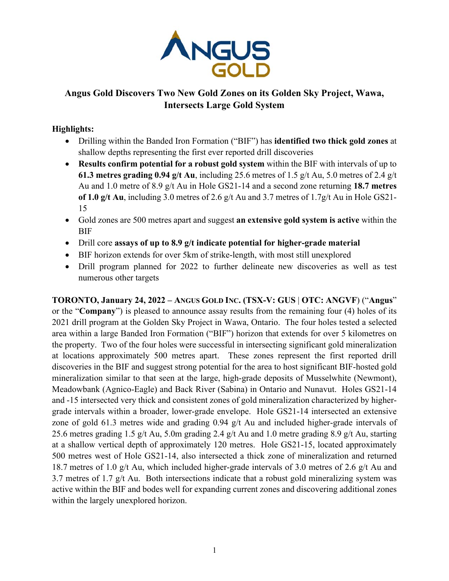

# **Angus Gold Discovers Two New Gold Zones on its Golden Sky Project, Wawa, Intersects Large Gold System**

# **Highlights:**

- Drilling within the Banded Iron Formation ("BIF") has **identified two thick gold zones** at shallow depths representing the first ever reported drill discoveries
- **Results confirm potential for a robust gold system** within the BIF with intervals of up to **61.3 metres grading 0.94 g/t Au**, including 25.6 metres of 1.5 g/t Au, 5.0 metres of 2.4 g/t Au and 1.0 metre of 8.9 g/t Au in Hole GS21-14 and a second zone returning **18.7 metres of 1.0 g/t Au**, including 3.0 metres of 2.6 g/t Au and 3.7 metres of 1.7g/t Au in Hole GS21- 15
- Gold zones are 500 metres apart and suggest **an extensive gold system is active** within the BIF
- Drill core **assays of up to 8.9 g/t indicate potential for higher-grade material**
- BIF horizon extends for over 5km of strike-length, with most still unexplored
- Drill program planned for 2022 to further delineate new discoveries as well as test numerous other targets

**TORONTO, January 24, 2022 – ANGUS GOLD INC. (TSX-V: GUS** | **OTC: ANGVF**) ("**Angus**" or the "**Company**") is pleased to announce assay results from the remaining four (4) holes of its 2021 drill program at the Golden Sky Project in Wawa, Ontario. The four holes tested a selected area within a large Banded Iron Formation ("BIF") horizon that extends for over 5 kilometres on the property. Two of the four holes were successful in intersecting significant gold mineralization at locations approximately 500 metres apart. These zones represent the first reported drill discoveries in the BIF and suggest strong potential for the area to host significant BIF-hosted gold mineralization similar to that seen at the large, high-grade deposits of Musselwhite (Newmont), Meadowbank (Agnico-Eagle) and Back River (Sabina) in Ontario and Nunavut. Holes GS21-14 and -15 intersected very thick and consistent zones of gold mineralization characterized by highergrade intervals within a broader, lower-grade envelope. Hole GS21-14 intersected an extensive zone of gold 61.3 metres wide and grading 0.94 g/t Au and included higher-grade intervals of 25.6 metres grading 1.5 g/t Au, 5.0m grading 2.4 g/t Au and 1.0 metre grading 8.9 g/t Au, starting at a shallow vertical depth of approximately 120 metres. Hole GS21-15, located approximately 500 metres west of Hole GS21-14, also intersected a thick zone of mineralization and returned 18.7 metres of 1.0 g/t Au, which included higher-grade intervals of 3.0 metres of 2.6 g/t Au and 3.7 metres of 1.7 g/t Au. Both intersections indicate that a robust gold mineralizing system was active within the BIF and bodes well for expanding current zones and discovering additional zones within the largely unexplored horizon.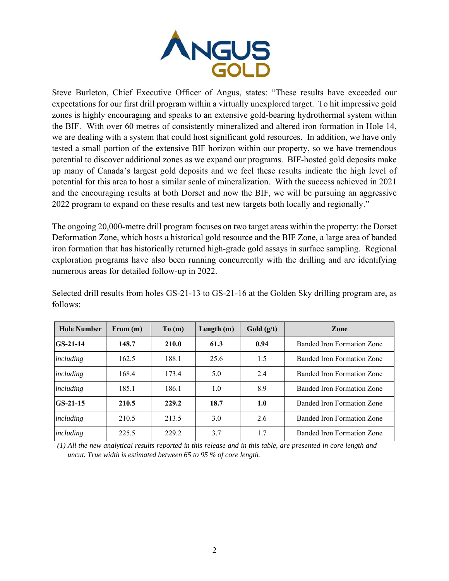

Steve Burleton, Chief Executive Officer of Angus, states: "These results have exceeded our expectations for our first drill program within a virtually unexplored target. To hit impressive gold zones is highly encouraging and speaks to an extensive gold-bearing hydrothermal system within the BIF. With over 60 metres of consistently mineralized and altered iron formation in Hole 14, we are dealing with a system that could host significant gold resources. In addition, we have only tested a small portion of the extensive BIF horizon within our property, so we have tremendous potential to discover additional zones as we expand our programs. BIF-hosted gold deposits make up many of Canada's largest gold deposits and we feel these results indicate the high level of potential for this area to host a similar scale of mineralization. With the success achieved in 2021 and the encouraging results at both Dorset and now the BIF, we will be pursuing an aggressive 2022 program to expand on these results and test new targets both locally and regionally."

The ongoing 20,000-metre drill program focuses on two target areas within the property: the Dorset Deformation Zone, which hosts a historical gold resource and the BIF Zone, a large area of banded iron formation that has historically returned high-grade gold assays in surface sampling. Regional exploration programs have also been running concurrently with the drilling and are identifying numerous areas for detailed follow-up in 2022.

| <b>Hole Number</b> | From $(m)$ | To(m) | Length $(m)$ | Gold $(g/t)$ | <b>Zone</b>                |
|--------------------|------------|-------|--------------|--------------|----------------------------|
| $GS-21-14$         | 148.7      | 210.0 | 61.3         | 0.94         | Banded Iron Formation Zone |
| including          | 162.5      | 188.1 | 25.6         | 1.5          | Banded Iron Formation Zone |
| including          | 168.4      | 173.4 | 5.0          | 2.4          | Banded Iron Formation Zone |
| including          | 185.1      | 186.1 | 1.0          | 8.9          | Banded Iron Formation Zone |
| $GS-21-15$         | 210.5      | 229.2 | 18.7         | 1.0          | Banded Iron Formation Zone |
| including          | 210.5      | 213.5 | 3.0          | 2.6          | Banded Iron Formation Zone |
| including          | 225.5      | 229.2 | 3.7          | 1.7          | Banded Iron Formation Zone |

Selected drill results from holes GS-21-13 to GS-21-16 at the Golden Sky drilling program are, as follows:

*(1) All the new analytical results reported in this release and in this table, are presented in core length and uncut. True width is estimated between 65 to 95 % of core length.*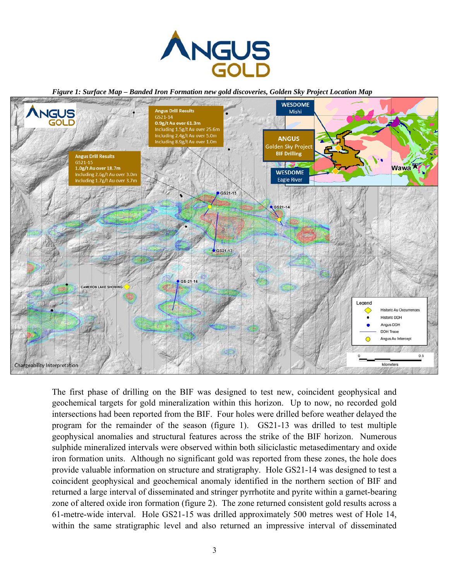

*Figure 1: Surface Map – Banded Iron Formation new gold discoveries, Golden Sky Project Location Map* 



The first phase of drilling on the BIF was designed to test new, coincident geophysical and geochemical targets for gold mineralization within this horizon. Up to now, no recorded gold intersections had been reported from the BIF. Four holes were drilled before weather delayed the program for the remainder of the season (figure 1). GS21-13 was drilled to test multiple geophysical anomalies and structural features across the strike of the BIF horizon. Numerous sulphide mineralized intervals were observed within both siliciclastic metasedimentary and oxide iron formation units. Although no significant gold was reported from these zones, the hole does provide valuable information on structure and stratigraphy. Hole GS21-14 was designed to test a coincident geophysical and geochemical anomaly identified in the northern section of BIF and returned a large interval of disseminated and stringer pyrrhotite and pyrite within a garnet-bearing zone of altered oxide iron formation (figure 2). The zone returned consistent gold results across a 61-metre-wide interval. Hole GS21-15 was drilled approximately 500 metres west of Hole 14, within the same stratigraphic level and also returned an impressive interval of disseminated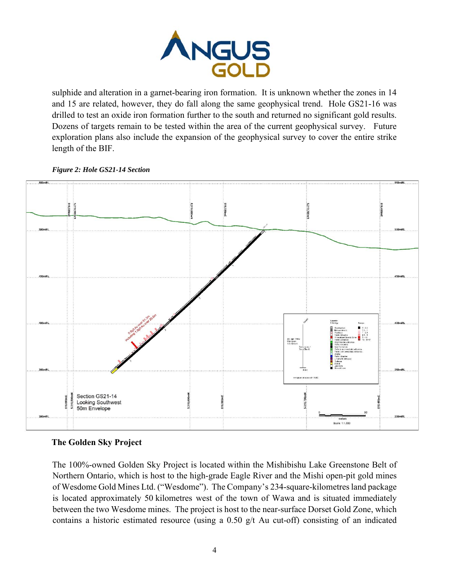

sulphide and alteration in a garnet-bearing iron formation. It is unknown whether the zones in 14 and 15 are related, however, they do fall along the same geophysical trend. Hole GS21-16 was drilled to test an oxide iron formation further to the south and returned no significant gold results. Dozens of targets remain to be tested within the area of the current geophysical survey. Future exploration plans also include the expansion of the geophysical survey to cover the entire strike length of the BIF.

#### *Figure 2: Hole GS21-14 Section*



## **The Golden Sky Project**

The 100%-owned Golden Sky Project is located within the Mishibishu Lake Greenstone Belt of Northern Ontario, which is host to the high-grade Eagle River and the Mishi open-pit gold mines of Wesdome Gold Mines Ltd. ("Wesdome"). The Company's 234-square-kilometres land package is located approximately 50 kilometres west of the town of Wawa and is situated immediately between the two Wesdome mines. The project is host to the near-surface Dorset Gold Zone, which contains a historic estimated resource (using a  $0.50$  g/t Au cut-off) consisting of an indicated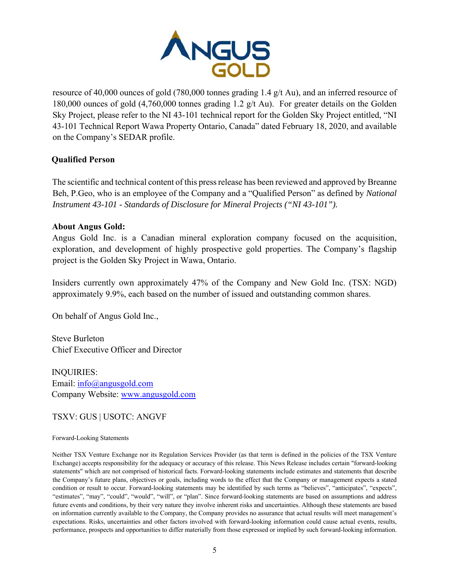

resource of 40,000 ounces of gold (780,000 tonnes grading 1.4 g/t Au), and an inferred resource of 180,000 ounces of gold (4,760,000 tonnes grading 1.2 g/t Au). For greater details on the Golden Sky Project, please refer to the NI 43-101 technical report for the Golden Sky Project entitled, "NI 43-101 Technical Report Wawa Property Ontario, Canada" dated February 18, 2020, and available on the Company's SEDAR profile.

## **Qualified Person**

The scientific and technical content of this press release has been reviewed and approved by Breanne Beh, P.Geo, who is an employee of the Company and a "Qualified Person" as defined by *National Instrument 43-101 - Standards of Disclosure for Mineral Projects ("NI 43-101").*

#### **About Angus Gold:**

Angus Gold Inc. is a Canadian mineral exploration company focused on the acquisition, exploration, and development of highly prospective gold properties. The Company's flagship project is the Golden Sky Project in Wawa, Ontario.

Insiders currently own approximately 47% of the Company and New Gold Inc. (TSX: NGD) approximately 9.9%, each based on the number of issued and outstanding common shares.

On behalf of Angus Gold Inc.,

Steve Burleton Chief Executive Officer and Director

INQUIRIES: Email: info@angusgold.com Company Website: www.angusgold.com

TSXV: GUS | USOTC: ANGVF

#### Forward-Looking Statements

Neither TSX Venture Exchange nor its Regulation Services Provider (as that term is defined in the policies of the TSX Venture Exchange) accepts responsibility for the adequacy or accuracy of this release. This News Release includes certain "forward-looking statements" which are not comprised of historical facts. Forward-looking statements include estimates and statements that describe the Company's future plans, objectives or goals, including words to the effect that the Company or management expects a stated condition or result to occur. Forward-looking statements may be identified by such terms as "believes", "anticipates", "expects", "estimates", "may", "could", "would", "will", or "plan". Since forward-looking statements are based on assumptions and address future events and conditions, by their very nature they involve inherent risks and uncertainties. Although these statements are based on information currently available to the Company, the Company provides no assurance that actual results will meet management's expectations. Risks, uncertainties and other factors involved with forward-looking information could cause actual events, results, performance, prospects and opportunities to differ materially from those expressed or implied by such forward-looking information.